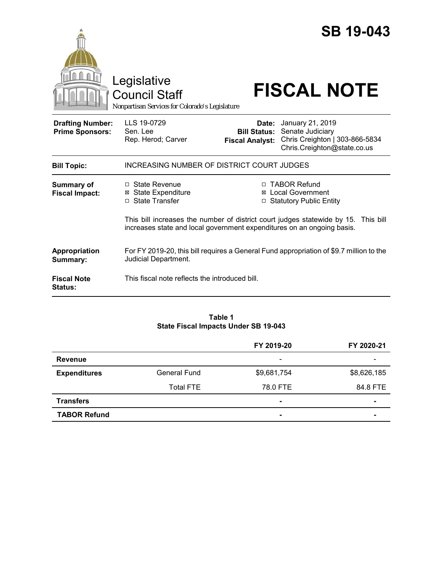|                                                   | Legislative<br><b>Council Staff</b><br>Nonpartisan Services for Colorado's Legislature |                                               | <b>SB 19-043</b><br><b>FISCAL NOTE</b>                                                                             |
|---------------------------------------------------|----------------------------------------------------------------------------------------|-----------------------------------------------|--------------------------------------------------------------------------------------------------------------------|
| <b>Drafting Number:</b><br><b>Prime Sponsors:</b> | LLS 19-0729<br>Sen. Lee<br>Rep. Herod; Carver                                          | <b>Bill Status:</b><br><b>Fiscal Analyst:</b> | <b>Date:</b> January 21, 2019<br>Senate Judiciary<br>Chris Creighton   303-866-5834<br>Chris.Creighton@state.co.us |
| <b>Bill Topic:</b>                                | INCREASING NUMBER OF DISTRICT COURT JUDGES                                             |                                               |                                                                                                                    |
| <b>Summary of</b><br><b>Fiscal Impact:</b>        | $\Box$ State Revenue<br><b>⊠</b> State Expenditure<br>□ State Transfer                 |                                               | □ TABOR Refund<br>⊠ Local Government<br>□ Statutory Public Entity                                                  |
|                                                   | increases state and local government expenditures on an ongoing basis.                 |                                               | This bill increases the number of district court judges statewide by 15. This bill                                 |
| Appropriation<br>Summary:                         | Judicial Department.                                                                   |                                               | For FY 2019-20, this bill requires a General Fund appropriation of \$9.7 million to the                            |
| <b>Fiscal Note</b><br>Status:                     | This fiscal note reflects the introduced bill.                                         |                                               |                                                                                                                    |

#### **Table 1 State Fiscal Impacts Under SB 19-043**

|                     |                     | FY 2019-20               | FY 2020-21  |
|---------------------|---------------------|--------------------------|-------------|
| <b>Revenue</b>      |                     | $\overline{\phantom{a}}$ |             |
| <b>Expenditures</b> | <b>General Fund</b> | \$9,681,754              | \$8,626,185 |
|                     | <b>Total FTE</b>    | 78.0 FTE                 | 84.8 FTE    |
| <b>Transfers</b>    |                     | $\blacksquare$           |             |
| <b>TABOR Refund</b> |                     | $\blacksquare$           |             |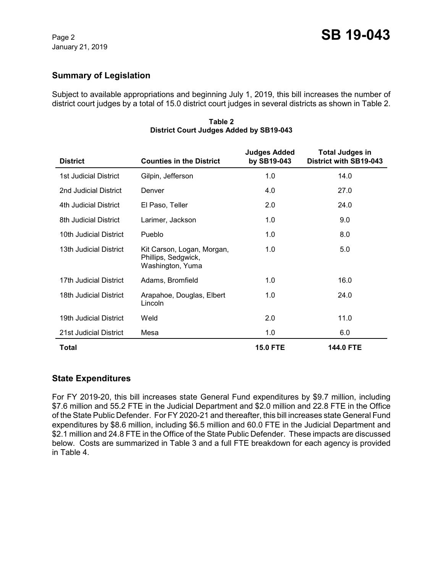## **Summary of Legislation**

Subject to available appropriations and beginning July 1, 2019, this bill increases the number of district court judges by a total of 15.0 district court judges in several districts as shown in Table 2.

| <b>District</b>              | <b>Counties in the District</b>                                       | <b>Judges Added</b><br>by SB19-043 | <b>Total Judges in</b><br>District with SB19-043 |
|------------------------------|-----------------------------------------------------------------------|------------------------------------|--------------------------------------------------|
| <b>1st Judicial District</b> | Gilpin, Jefferson                                                     | 1.0                                | 14.0                                             |
| 2nd Judicial District        | Denver                                                                | 4.0                                | 27.0                                             |
| 4th Judicial District        | El Paso, Teller                                                       | 2.0                                | 24.0                                             |
| 8th Judicial District        | Larimer, Jackson                                                      | 1.0                                | 9.0                                              |
| 10th Judicial District       | Pueblo                                                                | 1.0                                | 8.0                                              |
| 13th Judicial District       | Kit Carson, Logan, Morgan,<br>Phillips, Sedgwick,<br>Washington, Yuma | 1.0                                | 5.0                                              |
| 17th Judicial District       | Adams, Bromfield                                                      | 1.0                                | 16.0                                             |
| 18th Judicial District       | Arapahoe, Douglas, Elbert<br>Lincoln                                  | 1.0                                | 24.0                                             |
| 19th Judicial District       | Weld                                                                  | 2.0                                | 11.0                                             |
| 21st Judicial District       | Mesa                                                                  | 1.0                                | 6.0                                              |
| Total                        |                                                                       | <b>15.0 FTE</b>                    | <b>144.0 FTE</b>                                 |

**Table 2 District Court Judges Added by SB19-043**

### **State Expenditures**

For FY 2019-20, this bill increases state General Fund expenditures by \$9.7 million, including \$7.6 million and 55.2 FTE in the Judicial Department and \$2.0 million and 22.8 FTE in the Office of the State Public Defender. For FY 2020-21 and thereafter, this bill increases state General Fund expenditures by \$8.6 million, including \$6.5 million and 60.0 FTE in the Judicial Department and \$2.1 million and 24.8 FTE in the Office of the State Public Defender. These impacts are discussed below. Costs are summarized in Table 3 and a full FTE breakdown for each agency is provided in Table 4.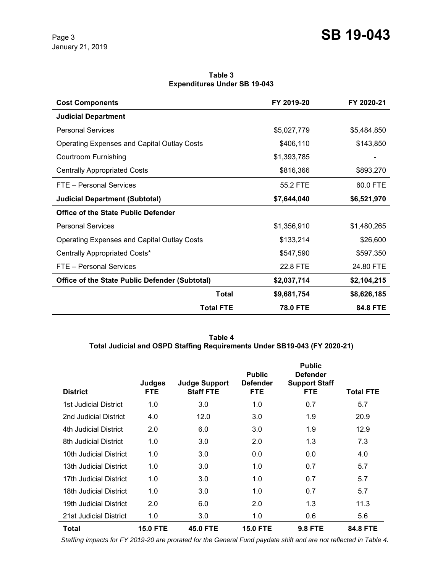**Table 3 Expenditures Under SB 19-043**

| <b>Cost Components</b>                                | FY 2019-20                  | FY 2020-21  |
|-------------------------------------------------------|-----------------------------|-------------|
| <b>Judicial Department</b>                            |                             |             |
| <b>Personal Services</b>                              | \$5,027,779                 | \$5,484,850 |
| <b>Operating Expenses and Capital Outlay Costs</b>    | \$406,110                   | \$143,850   |
| Courtroom Furnishing                                  | \$1,393,785                 |             |
| <b>Centrally Appropriated Costs</b>                   | \$816,366                   | \$893,270   |
| FTE - Personal Services                               | 55.2 FTE                    | 60.0 FTE    |
| <b>Judicial Department (Subtotal)</b>                 | \$7,644,040                 | \$6,521,970 |
| Office of the State Public Defender                   |                             |             |
| <b>Personal Services</b>                              | \$1,356,910                 | \$1,480,265 |
| <b>Operating Expenses and Capital Outlay Costs</b>    | \$133,214                   | \$26,600    |
| Centrally Appropriated Costs*                         | \$547,590                   | \$597,350   |
| FTE - Personal Services                               | 22.8 FTE                    | 24.80 FTE   |
| <b>Office of the State Public Defender (Subtotal)</b> | \$2,037,714                 | \$2,104,215 |
|                                                       | <b>Total</b><br>\$9,681,754 | \$8,626,185 |
| <b>Total FTE</b>                                      | <b>78.0 FTE</b>             | 84.8 FTE    |

**Table 4 Total Judicial and OSPD Staffing Requirements Under SB19-043 (FY 2020-21)**

| <b>District</b>        | Judges<br>FTE.  | <b>Judge Support</b><br><b>Staff FTE</b> | <b>Public</b><br><b>Defender</b><br><b>FTE</b> | <b>Public</b><br><b>Defender</b><br><b>Support Staff</b><br><b>FTE</b> | Total FTE |
|------------------------|-----------------|------------------------------------------|------------------------------------------------|------------------------------------------------------------------------|-----------|
| 1st Judicial District  | 1.0             | 3.0                                      | 1.0                                            | 0.7                                                                    | 5.7       |
| 2nd Judicial District  | 4.0             | 12.0                                     | 3.0                                            | 1.9                                                                    | 20.9      |
| 4th Judicial District  | 2.0             | 6.0                                      | 3.0                                            | 1.9                                                                    | 12.9      |
| 8th Judicial District  | 1.0             | 3.0                                      | 2.0                                            | 1.3                                                                    | 7.3       |
| 10th Judicial District | 1.0             | 3.0                                      | 0.0                                            | 0.0                                                                    | 4.0       |
| 13th Judicial District | 1.0             | 3.0                                      | 1.0                                            | 0.7                                                                    | 5.7       |
| 17th Judicial District | 1.0             | 3.0                                      | 1.0                                            | 0.7                                                                    | 5.7       |
| 18th Judicial District | 1.0             | 3.0                                      | 1.0                                            | 0.7                                                                    | 5.7       |
| 19th Judicial District | 2.0             | 6.0                                      | 2.0                                            | 1.3                                                                    | 11.3      |
| 21st Judicial District | 1.0             | 3.0                                      | 1.0                                            | 0.6                                                                    | 5.6       |
| <b>Total</b>           | <b>15.0 FTE</b> | <b>45.0 FTE</b>                          | <b>15.0 FTE</b>                                | <b>9.8 FTE</b>                                                         | 84.8 FTE  |

 *Staffing impacts for FY 2019-20 are prorated for the General Fund paydate shift and are not reflected in Table 4.*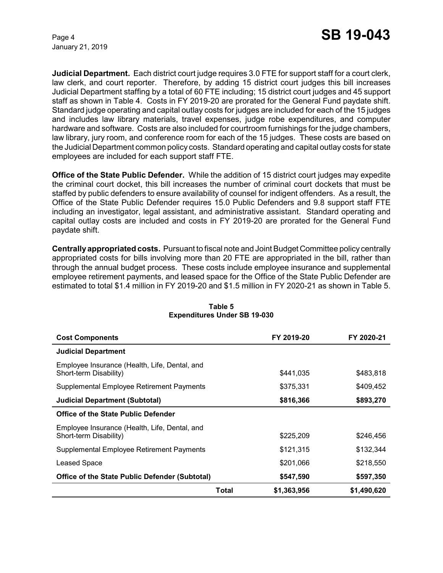January 21, 2019

**Judicial Department.** Each district court judge requires 3.0 FTE for support staff for a court clerk, law clerk, and court reporter. Therefore, by adding 15 district court judges this bill increases Judicial Department staffing by a total of 60 FTE including; 15 district court judges and 45 support staff as shown in Table 4. Costs in FY 2019-20 are prorated for the General Fund paydate shift. Standard judge operating and capital outlay costs for judges are included for each of the 15 judges and includes law library materials, travel expenses, judge robe expenditures, and computer hardware and software. Costs are also included for courtroom furnishings for the judge chambers, law library, jury room, and conference room for each of the 15 judges. These costs are based on the Judicial Department common policy costs. Standard operating and capital outlay costs for state employees are included for each support staff FTE.

**Office of the State Public Defender.** While the addition of 15 district court judges may expedite the criminal court docket, this bill increases the number of criminal court dockets that must be staffed by public defenders to ensure availability of counsel for indigent offenders. As a result, the Office of the State Public Defender requires 15.0 Public Defenders and 9.8 support staff FTE including an investigator, legal assistant, and administrative assistant. Standard operating and capital outlay costs are included and costs in FY 2019-20 are prorated for the General Fund paydate shift.

**Centrally appropriated costs.** Pursuant to fiscal note and Joint Budget Committee policy centrally appropriated costs for bills involving more than 20 FTE are appropriated in the bill, rather than through the annual budget process. These costs include employee insurance and supplemental employee retirement payments, and leased space for the Office of the State Public Defender are estimated to total \$1.4 million in FY 2019-20 and \$1.5 million in FY 2020-21 as shown in Table 5.

| <b>Cost Components</b>                                                  |       | FY 2019-20  | FY 2020-21  |
|-------------------------------------------------------------------------|-------|-------------|-------------|
| <b>Judicial Department</b>                                              |       |             |             |
| Employee Insurance (Health, Life, Dental, and<br>Short-term Disability) |       | \$441.035   | \$483,818   |
| Supplemental Employee Retirement Payments                               |       | \$375,331   | \$409,452   |
| <b>Judicial Department (Subtotal)</b>                                   |       | \$816,366   | \$893,270   |
| <b>Office of the State Public Defender</b>                              |       |             |             |
| Employee Insurance (Health, Life, Dental, and<br>Short-term Disability) |       | \$225,209   | \$246,456   |
| Supplemental Employee Retirement Payments                               |       | \$121,315   | \$132,344   |
| Leased Space                                                            |       | \$201,066   | \$218,550   |
| <b>Office of the State Public Defender (Subtotal)</b>                   |       | \$547,590   | \$597,350   |
|                                                                         | Total | \$1,363,956 | \$1,490,620 |

### **Table 5 Expenditures Under SB 19-030**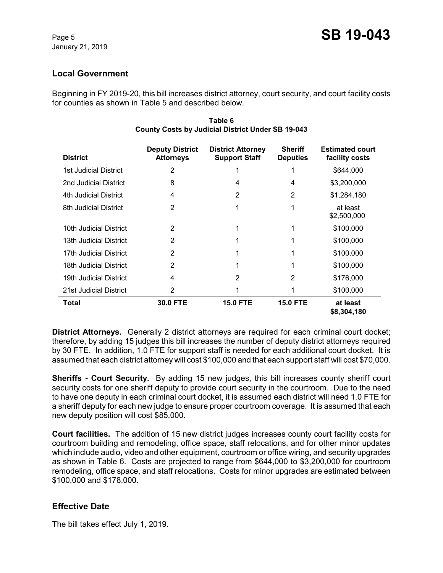## **Local Government**

Beginning in FY 2019-20, this bill increases district attorney, court security, and court facility costs for counties as shown in Table 5 and described below.

| <b>District</b>        | <b>Deputy District</b><br><b>Attorneys</b> | <b>District Attorney</b><br><b>Support Staff</b> | <b>Sheriff</b><br><b>Deputies</b> | <b>Estimated court</b><br>facility costs |
|------------------------|--------------------------------------------|--------------------------------------------------|-----------------------------------|------------------------------------------|
| 1st Judicial District  | 2                                          |                                                  |                                   | \$644,000                                |
| 2nd Judicial District  | 8                                          | 4                                                | 4                                 | \$3,200,000                              |
| 4th Judicial District  | 4                                          | 2                                                | 2                                 | \$1,284,180                              |
| 8th Judicial District  | 2                                          | 1                                                | 1                                 | at least<br>\$2,500,000                  |
| 10th Judicial District | 2                                          |                                                  | 1                                 | \$100,000                                |
| 13th Judicial District | $\overline{2}$                             | 1                                                |                                   | \$100,000                                |
| 17th Judicial District | 2                                          |                                                  |                                   | \$100,000                                |
| 18th Judicial District | 2                                          | 1                                                |                                   | \$100,000                                |
| 19th Judicial District | 4                                          | $\overline{2}$                                   | 2                                 | \$176,000                                |
| 21st Judicial District | 2                                          |                                                  |                                   | \$100,000                                |
| Total                  | 30.0 FTE                                   | <b>15.0 FTE</b>                                  | <b>15.0 FTE</b>                   | at least<br>\$8,304,180                  |

#### **Table 6 County Costs by Judicial District Under SB 19-043**

**District Attorneys.** Generally 2 district attorneys are required for each criminal court docket; therefore, by adding 15 judges this bill increases the number of deputy district attorneys required by 30 FTE. In addition, 1.0 FTE for support staff is needed for each additional court docket. It is assumed that each district attorney will cost \$100,000 and that each support staff will cost \$70,000.

**Sheriffs - Court Security.** By adding 15 new judges, this bill increases county sheriff court security costs for one sheriff deputy to provide court security in the courtroom. Due to the need to have one deputy in each criminal court docket, it is assumed each district will need 1.0 FTE for a sheriff deputy for each new judge to ensure proper courtroom coverage. It is assumed that each new deputy position will cost \$85,000.

**Court facilities.** The addition of 15 new district judges increases county court facility costs for courtroom building and remodeling, office space, staff relocations, and for other minor updates which include audio, video and other equipment, courtroom or office wiring, and security upgrades as shown in Table 6. Costs are projected to range from \$644,000 to \$3,200,000 for courtroom remodeling, office space, and staff relocations. Costs for minor upgrades are estimated between \$100,000 and \$178,000.

# **Effective Date**

The bill takes effect July 1, 2019.